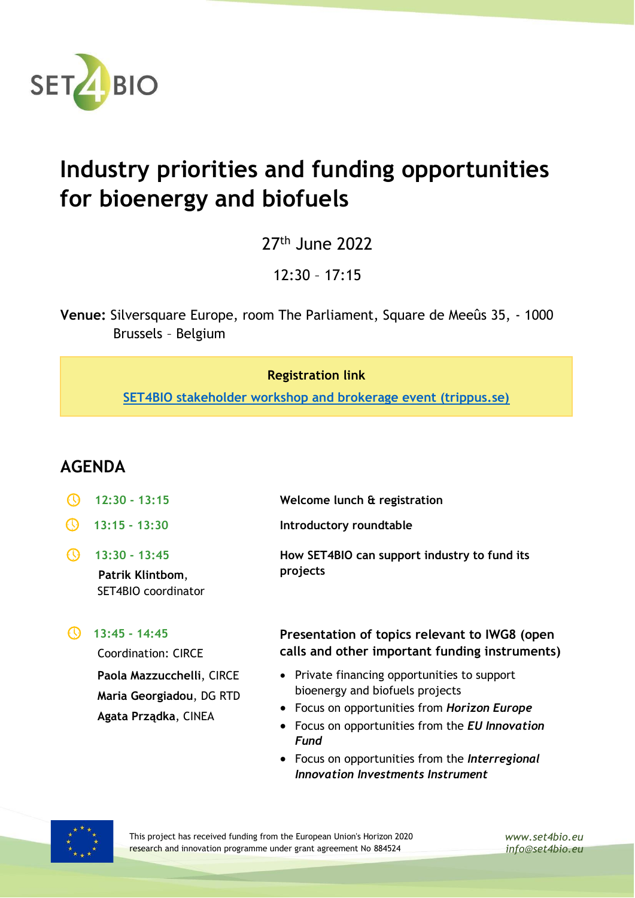

## **Industry priorities and funding opportunities for bioenergy and biofuels**

27<sup>th</sup> June 2022

12:30 – 17:15

**Venue:** Silversquare Europe, room The Parliament, Square de Meeûs 35, - 1000 Brussels – Belgium

## **Registration link**

**[SET4BIO stakeholder workshop and brokerage event \(trippus.se\)](https://www.trippus.se/web/registration/Registration.aspx?view=registration&idcategory=AB0ILBAE7etR9kTqJTuAWTZBPzMenBjBO4RXQHimhr-3RUxYh-KD6DvCbT32kCHJwltyU8VORGqN&ln=eng)**

## **AGENDA**

- **12:30 - 13:15 Welcome lunch & registration 13:15 - 13:30 Introductory roundtable 13:30 - 13:45 Patrik Klintbom**, SET4BIO coordinator **How SET4BIO can support industry to fund its projects**
- **13:45 - 14:45**

Coordination: CIRCE **Paola Mazzucchelli**, CIRCE **Maria Georgiadou**, DG RTD **Agata Prządka**, CINEA

## **Presentation of topics relevant to IWG8 (open calls and other important funding instruments)**

- Private financing opportunities to support bioenergy and biofuels projects
- Focus on opportunities from *Horizon Europe*
- Focus on opportunities from the *EU Innovation Fund*
- Focus on opportunities from the *Interregional Innovation Investments Instrument*